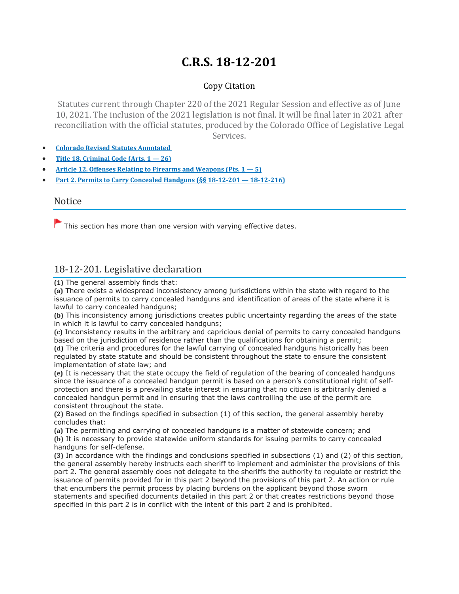# **C.R.S. 18-12-201**

## Copy Citation

Statutes current through Chapter 220 of the 2021 Regular Session and effective as of June 10, 2021. The inclusion of the 2021 legislation is not final. It will be final later in 2021 after reconciliation with the official statutes, produced by the Colorado Office of Legislative Legal Services.

- **Colorado Revised Statutes [Annotated](https://advance.lexis.com/documentpage/?pdmfid=1000516&crid=1e601233-a751-4af9-98e9-9916f55cd69c&nodeid=AASAAWAACAAB&nodepath=/ROOT/AAS/AASAAW/AASAAWAAC/AASAAWAACAAB&level=4&haschildren=&populated=false&title=18-12-201.%20Legislative%20declaration&config=014FJAAyNGJkY2Y4Zi1mNjgyLTRkN2YtYmE4OS03NTYzNzYzOTg0OGEKAFBvZENhdGFsb2d592qv2Kywlf8caKqYROP5&pddocfullpath=/shared/document/statutes-legislation/urn:contentItem:61P5-WSW1-DYDC-J3CV-00008-00&ecomp=_38_9kk&prid=8256212d-8e46-4fc7-9ac6-79333ec5e696)**
- **Title 18. [Criminal](https://advance.lexis.com/documentpage/?pdmfid=1000516&crid=1e601233-a751-4af9-98e9-9916f55cd69c&nodeid=AASAAWAACAAB&nodepath=/ROOT/AAS/AASAAW/AASAAWAAC/AASAAWAACAAB&level=4&haschildren=&populated=false&title=18-12-201.%20Legislative%20declaration&config=014FJAAyNGJkY2Y4Zi1mNjgyLTRkN2YtYmE4OS03NTYzNzYzOTg0OGEKAFBvZENhdGFsb2d592qv2Kywlf8caKqYROP5&pddocfullpath=/shared/document/statutes-legislation/urn:contentItem:61P5-WSW1-DYDC-J3CV-00008-00&ecomp=_38_9kk&prid=8256212d-8e46-4fc7-9ac6-79333ec5e696) Code (Arts. 1 — 26)**
- **Article 12. Offenses Relating to Firearms and [Weapons](https://advance.lexis.com/documentpage/?pdmfid=1000516&crid=1e601233-a751-4af9-98e9-9916f55cd69c&nodeid=AASAAWAACAAB&nodepath=/ROOT/AAS/AASAAW/AASAAWAAC/AASAAWAACAAB&level=4&haschildren=&populated=false&title=18-12-201.%20Legislative%20declaration&config=014FJAAyNGJkY2Y4Zi1mNjgyLTRkN2YtYmE4OS03NTYzNzYzOTg0OGEKAFBvZENhdGFsb2d592qv2Kywlf8caKqYROP5&pddocfullpath=/shared/document/statutes-legislation/urn:contentItem:61P5-WSW1-DYDC-J3CV-00008-00&ecomp=_38_9kk&prid=8256212d-8e46-4fc7-9ac6-79333ec5e696) (Pts. 1 — 5)**
- **Part 2. Permits to Carry Concealed Handguns (§§ 18-12-201 — [18-12-216\)](https://advance.lexis.com/documentpage/?pdmfid=1000516&crid=1e601233-a751-4af9-98e9-9916f55cd69c&nodeid=AASAAWAACAAB&nodepath=/ROOT/AAS/AASAAW/AASAAWAAC/AASAAWAACAAB&level=4&haschildren=&populated=false&title=18-12-201.%20Legislative%20declaration&config=014FJAAyNGJkY2Y4Zi1mNjgyLTRkN2YtYmE4OS03NTYzNzYzOTg0OGEKAFBvZENhdGFsb2d592qv2Kywlf8caKqYROP5&pddocfullpath=/shared/document/statutes-legislation/urn:contentItem:61P5-WSW1-DYDC-J3CV-00008-00&ecomp=_38_9kk&prid=8256212d-8e46-4fc7-9ac6-79333ec5e696)**

#### Notice

 $\blacktriangleright$  This section has more than one version with varying effective dates.

# 18-12-201. Legislative declaration

**(1)** The general assembly finds that:

**(a)** There exists a widespread inconsistency among jurisdictions within the state with regard to the issuance of permits to carry concealed handguns and identification of areas of the state where it is lawful to carry concealed handguns:

**(b)** This inconsistency among jurisdictions creates public uncertainty regarding the areas of the state in which it is lawful to carry concealed handguns;

**(c)** Inconsistency results in the arbitrary and capricious denial of permits to carry concealed handguns based on the jurisdiction of residence rather than the qualifications for obtaining a permit;

**(d)** The criteria and procedures for the lawful carrying of concealed handguns historically has been regulated by state statute and should be consistent throughout the state to ensure the consistent implementation of state law; and

**(e)** It is necessary that the state occupy the field of regulation of the bearing of concealed handguns since the issuance of a concealed handgun permit is based on a person's constitutional right of selfprotection and there is a prevailing state interest in ensuring that no citizen is arbitrarily denied a concealed handgun permit and in ensuring that the laws controlling the use of the permit are consistent throughout the state.

**(2)** Based on the findings specified in subsection (1) of this section, the general assembly hereby concludes that:

**(a)** The permitting and carrying of concealed handguns is a matter of statewide concern; and **(b)** It is necessary to provide statewide uniform standards for issuing permits to carry concealed handguns for self-defense.

**(3)** In accordance with the findings and conclusions specified in subsections (1) and (2) of this section, the general assembly hereby instructs each sheriff to implement and administer the provisions of this part 2. The general assembly does not delegate to the sheriffs the authority to regulate or restrict the issuance of permits provided for in this part 2 beyond the provisions of this part 2. An action or rule that encumbers the permit process by placing burdens on the applicant beyond those sworn statements and specified documents detailed in this part 2 or that creates restrictions beyond those specified in this part 2 is in conflict with the intent of this part 2 and is prohibited.